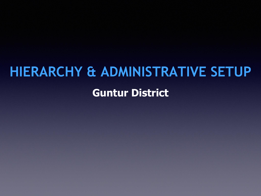# **HIERARCHY & ADMINISTRATIVE SETUP**

# **Guntur District**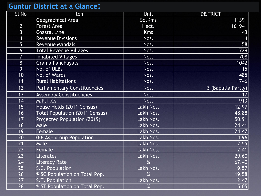#### **Guntur District at a Glance :**

| <b>SI No</b>   | Item                                  | <b>Unit</b> | <b>DISTRICT</b>    |
|----------------|---------------------------------------|-------------|--------------------|
|                | <b>Geographical Area</b>              | Sq.Kms      | 11391              |
| $\overline{2}$ | <b>Forest Area</b>                    | Hect.       | 161941             |
| $\mathsf{3}$   | <b>Coastal Line</b>                   | <b>Kms</b>  | 43                 |
| $\overline{4}$ | <b>Revenue Divisions</b>              | Nos.        | 4                  |
| 5              | <b>Revenue Mandals</b>                | Nos.        | 58                 |
| 6              | <b>Total Revenue Villages</b>         | Nos.        | 729                |
| 7              | <b>Inhabited Villages</b>             | Nos.        | 708                |
| 8              | <b>Grama Panchayats</b>               | Nos.        | 1042               |
| 9              | No. of ULBs                           | Nos.        | 15                 |
| 10             | No. of Wards                          | Nos.        | 485                |
| 11             | <b>Rural Habitations</b>              | Nos.        | 1746               |
| 12             | <b>Parliamentary Constituencies</b>   | Nos.        | 3 (Bapatla Partly) |
| 13             | <b>Assembly Constituencies</b>        | Nos.        | 17                 |
| 14             | M.P.T.Cs                              | Nos.        | 913                |
| 15             | House Holds (2011 Census)             | Lakh Nos.   | 12.97              |
| 16             | <b>Total Population (2011 Census)</b> | Lakh Nos.   | 48.88              |
| 17             | Projected Population (2019)           | Lakh Nos.   | 50.91              |
| 18             | Male                                  | Lakh Nos.   | 24.41              |
| 19             | Female                                | Lakh Nos.   | 24.47              |
| 20             | 0-6 Age group Population              | Lakh Nos.   | 4.96               |
| 21             | Male                                  | Lakh Nos.   | 2.55               |
| 22             | Female                                | Lakh Nos.   | 2.41               |
| 23             | Literates                             | Lakh Nos.   | 29.60              |
| 24             | <b>Literacy Rate</b>                  | %           | 67.40              |
| 25             | S.C. Population                       | Lakh Nos.   | 9.57               |
| 26             | <b>% SC Population on Total Pop.</b>  | %           | 19.58              |
| 27             | S.T. Population                       | Lakh Nos.   | 2.47               |
| 28             | % ST Population on Total Pop.         | $\%$        | 5.05               |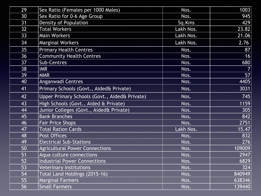| 29 | Sex Ratio (Females per 1000 Males)            | Nos.      | 1003   |
|----|-----------------------------------------------|-----------|--------|
| 30 | Sex Ratio for 0-6 Age Group                   | Nos.      | 945    |
| 31 | <b>Density of Population</b>                  | Sq.Kms    | 429    |
| 32 | <b>Total Workers</b>                          | Lakh Nos. | 23.82  |
| 33 | <b>Main Workers</b>                           | Lakh Nos. | 21.06  |
| 34 | <b>Marginal Workers</b>                       | Lakh Nos. | 2.76   |
| 35 | <b>Primary Health Centres</b>                 | Nos.      | 87     |
| 36 | <b>Community Health Centres</b>               | Nos.      | 16     |
| 37 | <b>Sub-Centres</b>                            | Nos.      | 680    |
| 38 | <b>IMR</b>                                    | Nos.      |        |
| 39 | <b>MMR</b>                                    | Nos.      | 57     |
| 40 | <b>Anganwadi Centres</b>                      | Nos.      | 4405   |
| 41 | Primary Schools (Govt., Aided& Private)       | Nos.      | 3031   |
| 42 | Upper Primary Schools (Govt., Aided& Private) | Nos.      | 745    |
| 43 | High Schools (Govt., Aided & Private)         | Nos.      | 1159   |
| 44 | Junior Colleges (Govt., Aided& Private)       | Nos.      | 305    |
| 45 | <b>Bank Branches</b>                          | Nos.      | 842    |
| 46 | <b>Fair Price Shops</b>                       | Nos.      | 2751   |
| 47 | <b>Total Ration Cards</b>                     | Lakh Nos. | 15.47  |
| 48 | <b>Post Offices</b>                           | Nos.      | 832    |
| 49 | <b>Electrical Sub-Stations</b>                | Nos.      | 276    |
| 50 | <b>Agricultural Power Connections</b>         | Nos.      | 109009 |
| 51 | Aqua culture connections                      | Nos.      | 2947   |
| 52 | <b>Industrial Power Connections</b>           | Nos.      | 6829   |
| 53 | <b>Veterinary Institutions</b>                | Nos.      | 324    |
| 54 | Total Land Holdings (2015-16)                 | Nos.      | 840949 |
| 55 | <b>Marginal Farmers</b>                       | Nos.      | 638346 |
| 56 | <b>Small Farmers</b>                          | Nos.      | 139440 |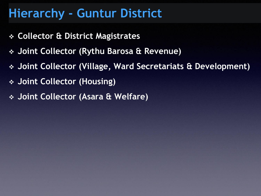# **Hierarchy - Guntur District**

- ❖ **Collector & District Magistrates**
- ❖ **Joint Collector (Rythu Barosa & Revenue)**
- ❖ **Joint Collector (Village, Ward Secretariats & Development)**
- ❖ **Joint Collector (Housing)**
- ❖ **Joint Collector (Asara & Welfare)**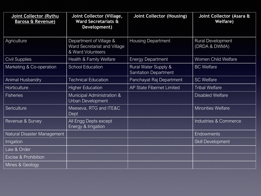| Joint Collector (Rythu<br><b>Barosa &amp; Revenue)</b> | Joint Collector (Village,<br><b>Ward Secretariats &amp;</b><br>Development)  | <b>Joint Collector (Housing)</b>                                | Joint Collector (Asara &<br><b>Welfare)</b> |
|--------------------------------------------------------|------------------------------------------------------------------------------|-----------------------------------------------------------------|---------------------------------------------|
| Agriculture                                            | Department of Village &<br>Ward Secretariat and Village<br>& Ward Volunteers | <b>Housing Department</b>                                       | <b>Rural Development</b><br>(DRDA & DWMA)   |
| <b>Civil Supplies</b>                                  | Health & Family Welfare                                                      | <b>Energy Department</b>                                        | <b>Women Child Welfare</b>                  |
| Marketing & Co-operation                               | <b>School Education</b>                                                      | <b>Rural Water Supply &amp;</b><br><b>Sanitation Department</b> | <b>BC Welfare</b>                           |
| <b>Animal Husbandry</b>                                | <b>Technical Education</b>                                                   | Panchayat Raj Department                                        | <b>SC Welfare</b>                           |
| Horticulture                                           | <b>Higher Education</b>                                                      | <b>AP State Fibernet Limited</b>                                | <b>Tribal Welfare</b>                       |
| <b>Fisheries</b>                                       | Municipal Administration &<br>Urban Development                              |                                                                 | <b>Disabled Welfare</b>                     |
| Sericulture                                            | Meeseva, RTG and ITE&C<br>Dept                                               |                                                                 | <b>Minorities Welfare</b>                   |
| Revenue & Survey                                       | <b>All Engg Depts except</b><br>Energy & Irrigation                          |                                                                 | <b>Industries &amp; Commerce</b>            |
| Natural Disaster Management                            |                                                                              |                                                                 | <b>Endowments</b>                           |
| Irrigation                                             |                                                                              |                                                                 | <b>Skill Development</b>                    |
| Law & Order                                            |                                                                              |                                                                 |                                             |
| <b>Excise &amp; Prohibition</b>                        |                                                                              |                                                                 |                                             |
| Mines & Geology                                        |                                                                              |                                                                 |                                             |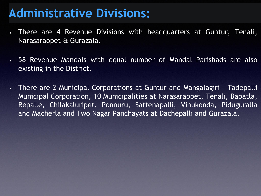# **Administrative Divisions:**

- There are 4 Revenue Divisions with headquarters at Guntur, Tenali, Narasaraopet & Gurazala.
- 58 Revenue Mandals with equal number of Mandal Parishads are also existing in the District.
- There are 2 Municipal Corporations at Guntur and Mangalagiri Tadepalli Municipal Corporation, 10 Municipalities at Narasaraopet, Tenali, Bapatla, Repalle, Chilakaluripet, Ponnuru, Sattenapalli, Vinukonda, Piduguralla and Macherla and Two Nagar Panchayats at Dachepalli and Gurazala.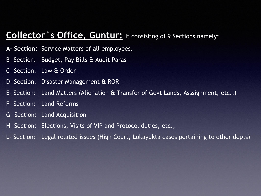### **Collector`s Office, Guntur:** It consisting of 9 Sections namely**;**

- **A- Section:** Service Matters of all employees.
- B- Section: Budget, Pay Bills & Audit Paras
- C- Section: Law & Order
- D- Section: Disaster Management & ROR
- E- Section: Land Matters (Alienation & Transfer of Govt Lands, Asssignment, etc.,)
- F- Section: Land Reforms
- G- Section: Land Acquisition
- H- Section: Elections, Visits of VIP and Protocol duties, etc.,
- L- Section: Legal related issues (High Court, Lokayukta cases pertaining to other depts)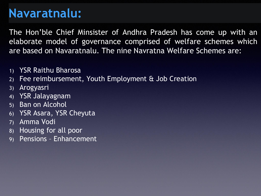# **Navaratnalu:**

The Hon'ble Chief Minsister of Andhra Pradesh has come up with an elaborate model of governance comprised of welfare schemes which are based on Navaratnalu. The nine Navratna Welfare Schemes are:

- 1) YSR Raithu Bharosa
- 2) Fee reimbursement, Youth Employment & Job Creation
- 3) Arogyasri
- 4) YSR Jalayagnam
- 5) Ban on Alcohol
- 6) YSR Asara, YSR Cheyuta
- 7) Amma Vodi
- 8) Housing for all poor
- 9) Pensions Enhancement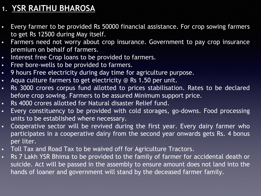## **1. YSR RAITHU BHAROSA**

- Every farmer to be provided Rs 50000 financial assistance. For crop sowing farmers to get Rs 12500 during May itself.
- **Farmers need not worry about crop insurance. Government to pay crop insurance** premium on behalf of farmers.
- **EXED** Interest free Crop loans to be provided to farmers.
- Free bore-wells to be provided to farmers.
- 9 hours Free electricity during day time for agriculture purpose.
- Aqua culture farmers to get electricity @ Rs 1.50 per unit.
- **·** Rs 3000 crores corpus fund allotted to prices stabilisation. Rates to be declared before crop sowing. Farmers to be assured Minimum support price.
- Rs 4000 crores allotted for Natural disaster Relief fund.
- **Exery constituency to be provided with cold storages, go-downs. Food processing** units to be established where necessary.
- **•** Cooperative sector will be revived during the first year. Every dairy farmer who participates in a cooperative dairy from the second year onwards gets Rs. 4 bonus per liter.
- **Toll Tax and Road Tax to be waived off for Agriculture Tractors.**
- **Rs 7 Lakh YSR Bhima to be provided to the family of farmer for accidental death or** suicide. Act will be passed in the assembly to ensure amount does not land into the hands of loaner and government will stand by the deceased farmer family.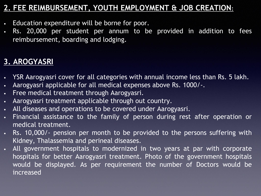### **2. FEE REIMBURSEMENT, YOUTH EMPLOYMENT & JOB CREATION:**

- Education expenditure will be borne for poor.
- Rs. 20,000 per student per annum to be provided in addition to fees reimbursement, boarding and lodging.

# **3. AROGYASRI**

- YSR Aarogyasri cover for all categories with annual income less than Rs. 5 lakh.
- Aarogyasri applicable for all medical expenses above Rs. 1000/-.
- Free medical treatment through Aarogyasri.
- Aarogyasri treatment applicable through out country.
- All diseases and operations to be covered under Aarogyasri.
- Financial assistance to the family of person during rest after operation or medical treatment.
- Rs. 10,000/- pension per month to be provided to the persons suffering with Kidney, Thalassemia and perineal diseases.
- All government hospitals to modernized in two years at par with corporate hospitals for better Aarogyasri treatment. Photo of the government hospitals would be displayed. As per requirement the number of Doctors would be increased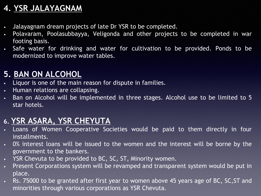# **4. YSR JALAYAGNAM**

- Jalayagnam dream projects of late Dr YSR to be completed.
- Polavaram, Poolasubbayya, Veligonda and other projects to be completed in war footing basis.
- Safe water for drinking and water for cultivation to be provided. Ponds to be modernized to improve water tables.

# **5. BAN ON ALCOHOL**

- Liquor is one of the main reason for dispute in families.
- Human relations are collapsing.
- Ban on Alcohol will be implemented in three stages. Alcohol use to be limited to 5 star hotels.

### **6. YSR ASARA, YSR CHEYUTA**

- Loans of Women Cooperative Societies would be paid to them directly in four installments.
- 0% interest loans will be issued to the women and the interest will be borne by the government to the bankers.
- YSR Chevuta to be provided to BC, SC, ST, Minority women.
- Present Corporations system will be revamped and transparent system would be put in place.
- Rs. 75000 to be granted after first year to women above 45 years age of BC, SC,ST and minorities through various corporations as YSR Chevuta.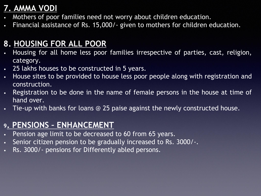# **7. AMMA VODI**

- Mothers of poor families need not worry about children education.
- Financial assistance of Rs. 15,000/- given to mothers for children education.

# **8. HOUSING FOR ALL POOR**

- Housing for all home less poor families irrespective of parties, cast, religion, category.
- 25 lakhs houses to be constructed in 5 years.
- House sites to be provided to house less poor people along with registration and construction.
- Registration to be done in the name of female persons in the house at time of hand over.
- Tie-up with banks for loans @ 25 paise against the newly constructed house.

# **<sup>9</sup>. PENSIONS – ENHANCEMENT**

- Pension age limit to be decreased to 60 from 65 years.
- Senior citizen pension to be gradually increased to Rs. 3000/-.
- Rs. 3000/- pensions for Differently abled persons.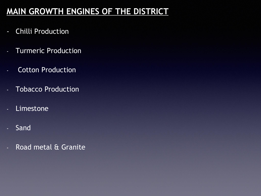# **MAIN GROWTH ENGINES OF THE DISTRICT**

- Chilli Production
- **Turmeric Production**
- Cotton Production
- Tobacco Production
- **Limestone**
- Sand
- Road metal & Granite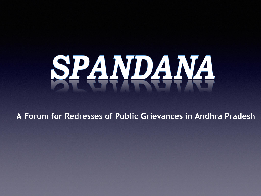

**A Forum for Redresses of Public Grievances in Andhra Pradesh**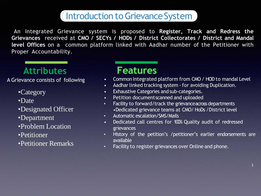# Introduction to Grievance System

An integrated Grievance system is proposed to **Register, Track and Redress the Grievances** received at **CMO / SECYs / HODs / District Collectorates / District and Mandal level Offices** on a common platform linked with Aadhar number of the Petitioner with Proper Accountability.

# **Attributes**

A Grievance consists of following

- •Category
- •Date
- •Designated Officer
- •Department
- •Problem Location
- •Petitioner
- •Petitioner Remarks

# **Features**

- Common Integrated platform from CMO/ HOD to mandal Level
- Aadhar linked tracking system for avoiding Duplication.
- Exhaustive Categories and sub-categories.
- Petition documentscanned and uploaded
- Facility to forward/track the grievance across departments •Dedicated grievance teams at CMO/ HoDs /District level
- Automatic escalation/SMS/Mails
- Dedicated call centres for 100% Quality audit of redressed grievances
- History of the petition's /petitioner's earlier endorsements are available
- Facility to register grievances over Online and phone.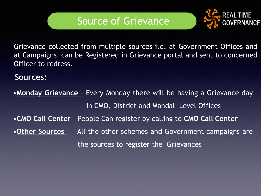

Grievance collected from multiple sources i.e. at Government Offices and at Campaigns can be Registered in Grievance portal and sent to concerned Officer to redress.

#### **Sources:**

•**Monday Grievance** - Every Monday there will be having a Grievance day in CMO, District and Mandal Level Offices •**CMO Call Center** – People Can register by calling to **CMO Call Center** •**Other Sources** – All the other schemes and Government campaigns are the sources to register the Grievances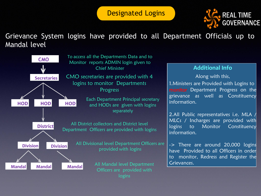#### Designated Logins



#### Grievance System logins have provided to all Department Officials up to Mandal level